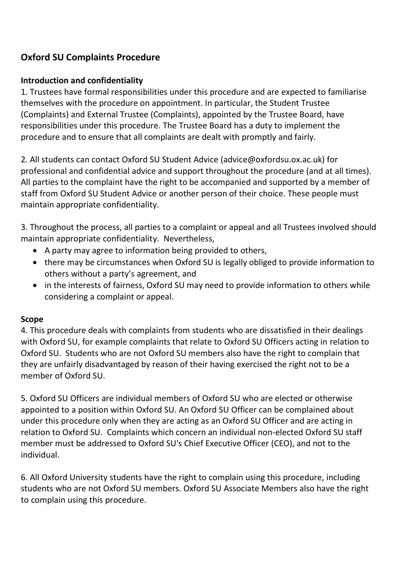# **Oxford SU Complaints Procedure**

### **Introduction and confidentiality**

1. Trustees have formal responsibilities under this procedure and are expected to familiarise themselves with the procedure on appointment. In particular, the Student Trustee (Complaints) and External Trustee (Complaints), appointed by the Trustee Board, have responsibilities under this procedure. The Trustee Board has a duty to implement the procedure and to ensure that all complaints are dealt with promptly and fairly.

2. All students can contact Oxford SU Student Advice (advice@oxfordsu.ox.ac.uk) for professional and confidential advice and support throughout the procedure (and at all times). All parties to the complaint have the right to be accompanied and supported by a member of staff from Oxford SU Student Advice or another person of their choice. These people must maintain appropriate confidentiality.

3. Throughout the process, all parties to a complaint or appeal and all Trustees involved should maintain appropriate confidentiality. Nevertheless,

- A party may agree to information being provided to others,
- there may be circumstances when Oxford SU is legally obliged to provide information to others without a party's agreement, and
- in the interests of fairness, Oxford SU may need to provide information to others while considering a complaint or appeal.

### **Scope**

4. This procedure deals with complaints from students who are dissatisfied in their dealings with Oxford SU, for example complaints that relate to Oxford SU Officers acting in relation to Oxford SU. Students who are not Oxford SU members also have the right to complain that they are unfairly disadvantaged by reason of their having exercised the right not to be a member of Oxford SU.

5. Oxford SU Officers are individual members of Oxford SU who are elected or otherwise appointed to a position within Oxford SU. An Oxford SU Officer can be complained about under this procedure only when they are acting as an Oxford SU Officer and are acting in relation to Oxford SU. Complaints which concern an individual non-elected Oxford SU staff member must be addressed to Oxford SU's Chief Executive Officer (CEO), and not to the individual.

6. All Oxford University students have the right to complain using this procedure, including students who are not Oxford SU members. Oxford SU Associate Members also have the right to complain using this procedure.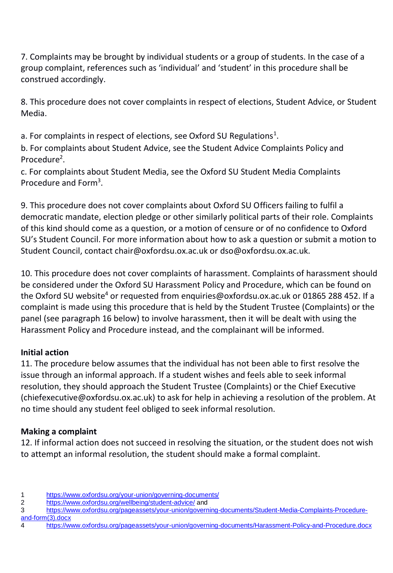7. Complaints may be brought by individual students or a group of students. In the case of a group complaint, references such as 'individual' and 'student' in this procedure shall be construed accordingly.

8. This procedure does not cover complaints in respect of elections, Student Advice, or Student Media.

a. For complaints in respect of elections, see Oxford SU Regulations<sup>1</sup>.

b. For complaints about Student Advice, see the Student Advice Complaints Policy and Procedure<sup>2</sup>.

c. For complaints about Student Media, see the Oxford SU Student Media Complaints Procedure and Form<sup>3</sup>.

9. This procedure does not cover complaints about Oxford SU Officers failing to fulfil a democratic mandate, election pledge or other similarly political parts of their role. Complaints of this kind should come as a question, or a motion of censure or of no confidence to Oxford SU's Student Council. For more information about how to ask a question or submit a motion to Student Council, contact chair@oxfordsu.ox.ac.uk or dso@oxfordsu.ox.ac.uk.

10. This procedure does not cover complaints of harassment. Complaints of harassment should be considered under the Oxford SU Harassment Policy and Procedure, which can be found on the Oxford SU website<sup>4</sup> or requested from enquiries@oxfordsu.ox.ac.uk or 01865 288 452. If a complaint is made using this procedure that is held by the Student Trustee (Complaints) or the panel (see paragraph 16 below) to involve harassment, then it will be dealt with using the Harassment Policy and Procedure instead, and the complainant will be informed.

# **Initial action**

11. The procedure below assumes that the individual has not been able to first resolve the issue through an informal approach. If a student wishes and feels able to seek informal resolution, they should approach the Student Trustee (Complaints) or the Chief Executive (chiefexecutive@oxfordsu.ox.ac.uk) to ask for help in achieving a resolution of the problem. At no time should any student feel obliged to seek informal resolution.

# **Making a complaint**

12. If informal action does not succeed in resolving the situation, or the student does not wish to attempt an informal resolution, the student should make a formal complaint.

<sup>1</sup> <https://www.oxfordsu.org/your-union/governing-documents/>

<sup>2</sup> <https://www.oxfordsu.org/wellbeing/student-advice/> and

<sup>3</sup> [https://www.oxfordsu.org/pageassets/your-union/governing-documents/Student-Media-Complaints-Procedure](https://www.oxfordsu.org/pageassets/your-union/governing-documents/Student-Media-Complaints-Procedure-and-form(3).docx)[and-form\(3\).docx](https://www.oxfordsu.org/pageassets/your-union/governing-documents/Student-Media-Complaints-Procedure-and-form(3).docx)

<sup>4</sup> <https://www.oxfordsu.org/pageassets/your-union/governing-documents/Harassment-Policy-and-Procedure.docx>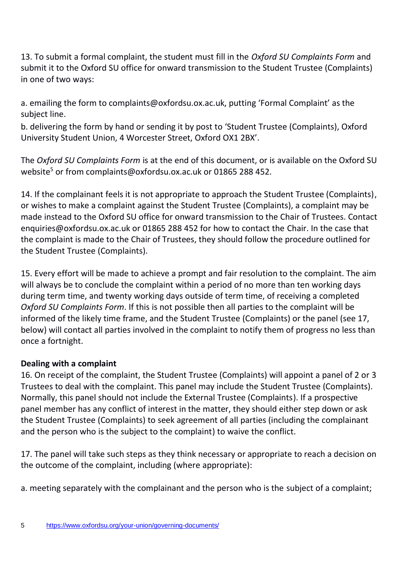13. To submit a formal complaint, the student must fill in the *Oxford SU Complaints Form* and submit it to the Oxford SU office for onward transmission to the Student Trustee (Complaints) in one of two ways:

a. emailing the form to complaints@oxfordsu.ox.ac.uk, putting 'Formal Complaint' as the subject line.

b. delivering the form by hand or sending it by post to 'Student Trustee (Complaints), Oxford University Student Union, 4 Worcester Street, Oxford OX1 2BX'.

The *Oxford SU Complaints Form* is at the end of this document, or is available on the Oxford SU website<sup>5</sup> or from complaints@oxfordsu.ox.ac.uk or 01865 288 452.

14. If the complainant feels it is not appropriate to approach the Student Trustee (Complaints), or wishes to make a complaint against the Student Trustee (Complaints), a complaint may be made instead to the Oxford SU office for onward transmission to the Chair of Trustees. Contact enquiries@oxfordsu.ox.ac.uk or 01865 288 452 for how to contact the Chair. In the case that the complaint is made to the Chair of Trustees, they should follow the procedure outlined for the Student Trustee (Complaints).

15. Every effort will be made to achieve a prompt and fair resolution to the complaint. The aim will always be to conclude the complaint within a period of no more than ten working days during term time, and twenty working days outside of term time, of receiving a completed *Oxford SU Complaints Form*. If this is not possible then all parties to the complaint will be informed of the likely time frame, and the Student Trustee (Complaints) or the panel (see 17, below) will contact all parties involved in the complaint to notify them of progress no less than once a fortnight.

# **Dealing with a complaint**

16. On receipt of the complaint, the Student Trustee (Complaints) will appoint a panel of 2 or 3 Trustees to deal with the complaint. This panel may include the Student Trustee (Complaints). Normally, this panel should not include the External Trustee (Complaints). If a prospective panel member has any conflict of interest in the matter, they should either step down or ask the Student Trustee (Complaints) to seek agreement of all parties (including the complainant and the person who is the subject to the complaint) to waive the conflict.

17. The panel will take such steps as they think necessary or appropriate to reach a decision on the outcome of the complaint, including (where appropriate):

a. meeting separately with the complainant and the person who is the subject of a complaint;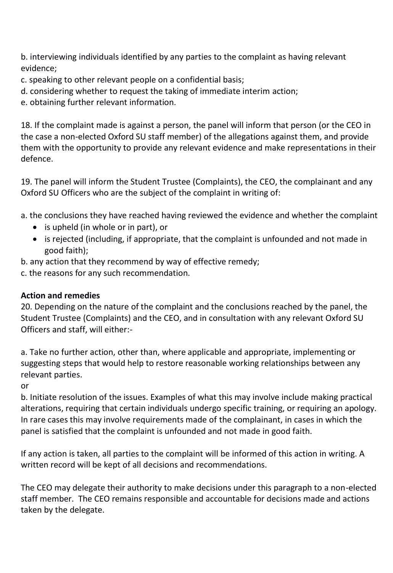b. interviewing individuals identified by any parties to the complaint as having relevant evidence;

- c. speaking to other relevant people on a confidential basis;
- d. considering whether to request the taking of immediate interim action;
- e. obtaining further relevant information.

18. If the complaint made is against a person, the panel will inform that person (or the CEO in the case a non-elected Oxford SU staff member) of the allegations against them, and provide them with the opportunity to provide any relevant evidence and make representations in their defence.

19. The panel will inform the Student Trustee (Complaints), the CEO, the complainant and any Oxford SU Officers who are the subject of the complaint in writing of:

a. the conclusions they have reached having reviewed the evidence and whether the complaint

- is upheld (in whole or in part), or
- is rejected (including, if appropriate, that the complaint is unfounded and not made in good faith);
- b. any action that they recommend by way of effective remedy;

c. the reasons for any such recommendation.

### **Action and remedies**

20. Depending on the nature of the complaint and the conclusions reached by the panel, the Student Trustee (Complaints) and the CEO, and in consultation with any relevant Oxford SU Officers and staff, will either:-

a. Take no further action, other than, where applicable and appropriate, implementing or suggesting steps that would help to restore reasonable working relationships between any relevant parties.

or

b. Initiate resolution of the issues. Examples of what this may involve include making practical alterations, requiring that certain individuals undergo specific training, or requiring an apology. In rare cases this may involve requirements made of the complainant, in cases in which the panel is satisfied that the complaint is unfounded and not made in good faith.

If any action is taken, all parties to the complaint will be informed of this action in writing. A written record will be kept of all decisions and recommendations.

The CEO may delegate their authority to make decisions under this paragraph to a non-elected staff member. The CEO remains responsible and accountable for decisions made and actions taken by the delegate.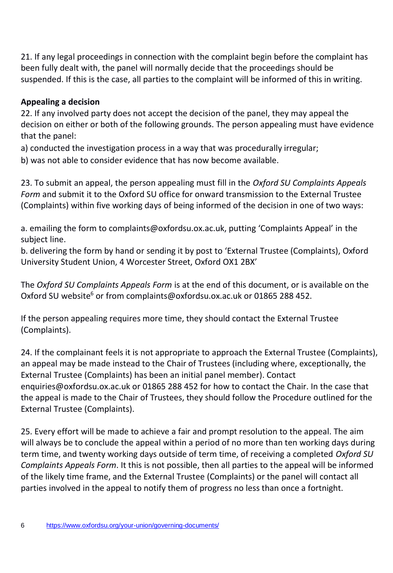21. If any legal proceedings in connection with the complaint begin before the complaint has been fully dealt with, the panel will normally decide that the proceedings should be suspended. If this is the case, all parties to the complaint will be informed of this in writing.

# **Appealing a decision**

22. If any involved party does not accept the decision of the panel, they may appeal the decision on either or both of the following grounds. The person appealing must have evidence that the panel:

a) conducted the investigation process in a way that was procedurally irregular;

b) was not able to consider evidence that has now become available.

23. To submit an appeal, the person appealing must fill in the *Oxford SU Complaints Appeals Form* and submit it to the Oxford SU office for onward transmission to the External Trustee (Complaints) within five working days of being informed of the decision in one of two ways:

a. emailing the form to complaints@oxfordsu.ox.ac.uk, putting 'Complaints Appeal' in the subject line.

b. delivering the form by hand or sending it by post to 'External Trustee (Complaints), Oxford University Student Union, 4 Worcester Street, Oxford OX1 2BX'

The *Oxford SU Complaints Appeals Form* is at the end of this document, or is available on the Oxford SU website<sup>6</sup> or from complaints@oxfordsu.ox.ac.uk or 01865 288 452.

If the person appealing requires more time, they should contact the External Trustee (Complaints).

24. If the complainant feels it is not appropriate to approach the External Trustee (Complaints), an appeal may be made instead to the Chair of Trustees (including where, exceptionally, the External Trustee (Complaints) has been an initial panel member). Contact enquiries@oxfordsu.ox.ac.uk or 01865 288 452 for how to contact the Chair. In the case that the appeal is made to the Chair of Trustees, they should follow the Procedure outlined for the External Trustee (Complaints).

25. Every effort will be made to achieve a fair and prompt resolution to the appeal. The aim will always be to conclude the appeal within a period of no more than ten working days during term time, and twenty working days outside of term time, of receiving a completed *Oxford SU Complaints Appeals Form*. It this is not possible, then all parties to the appeal will be informed of the likely time frame, and the External Trustee (Complaints) or the panel will contact all parties involved in the appeal to notify them of progress no less than once a fortnight.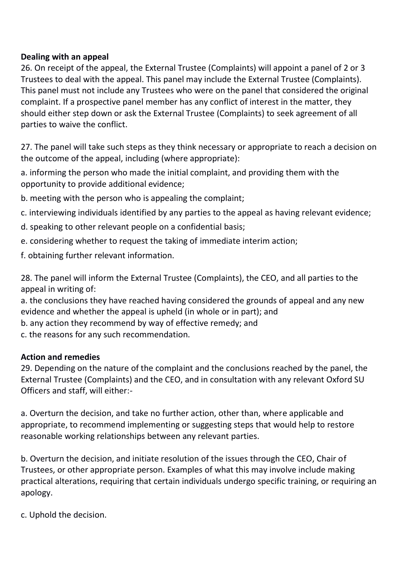#### **Dealing with an appeal**

26. On receipt of the appeal, the External Trustee (Complaints) will appoint a panel of 2 or 3 Trustees to deal with the appeal. This panel may include the External Trustee (Complaints). This panel must not include any Trustees who were on the panel that considered the original complaint. If a prospective panel member has any conflict of interest in the matter, they should either step down or ask the External Trustee (Complaints) to seek agreement of all parties to waive the conflict.

27. The panel will take such steps as they think necessary or appropriate to reach a decision on the outcome of the appeal, including (where appropriate):

a. informing the person who made the initial complaint, and providing them with the opportunity to provide additional evidence;

b. meeting with the person who is appealing the complaint;

- c. interviewing individuals identified by any parties to the appeal as having relevant evidence;
- d. speaking to other relevant people on a confidential basis;
- e. considering whether to request the taking of immediate interim action;
- f. obtaining further relevant information.

28. The panel will inform the External Trustee (Complaints), the CEO, and all parties to the appeal in writing of:

a. the conclusions they have reached having considered the grounds of appeal and any new evidence and whether the appeal is upheld (in whole or in part); and

b. any action they recommend by way of effective remedy; and

c. the reasons for any such recommendation.

### **Action and remedies**

29. Depending on the nature of the complaint and the conclusions reached by the panel, the External Trustee (Complaints) and the CEO, and in consultation with any relevant Oxford SU Officers and staff, will either:-

a. Overturn the decision, and take no further action, other than, where applicable and appropriate, to recommend implementing or suggesting steps that would help to restore reasonable working relationships between any relevant parties.

b. Overturn the decision, and initiate resolution of the issues through the CEO, Chair of Trustees, or other appropriate person. Examples of what this may involve include making practical alterations, requiring that certain individuals undergo specific training, or requiring an apology.

c. Uphold the decision.